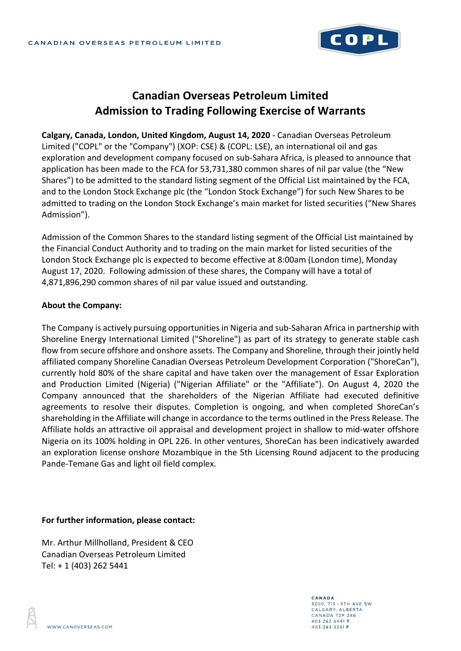

## **Canadian Overseas Petroleum Limited Admission to Trading Following Exercise of Warrants**

**Calgary, Canada, London, United Kingdom, August 14, 2020** - Canadian Overseas Petroleum Limited ("COPL" or the "Company") (XOP: CSE) & (COPL: LSE), an international oil and gas exploration and development company focused on sub-Sahara Africa, is pleased to announce that application has been made to the FCA for 53,731,380 common shares of nil par value (the "New Shares") to be admitted to the standard listing segment of the Official List maintained by the FCA, and to the London Stock Exchange plc (the "London Stock Exchange") for such New Shares to be admitted to trading on the London Stock Exchange's main market for listed securities ("New Shares Admission").

Admission of the Common Shares to the standard listing segment of the Official List maintained by the Financial Conduct Authority and to trading on the main market for listed securities of the London Stock Exchange plc is expected to become effective at 8:00am (London time), Monday August 17, 2020. Following admission of these shares, the Company will have a total of 4,871,896,290 common shares of nil par value issued and outstanding.

## **About the Company:**

The Company is actively pursuing opportunities in Nigeria and sub-Saharan Africa in partnership with Shoreline Energy International Limited ("Shoreline") as part of its strategy to generate stable cash flow from secure offshore and onshore assets. The Company and Shoreline, through their jointly held affiliated company Shoreline Canadian Overseas Petroleum Development Corporation ("ShoreCan"), currently hold 80% of the share capital and have taken over the management of Essar Exploration and Production Limited (Nigeria) ("Nigerian Affiliate" or the "Affiliate"). On August 4, 2020 the Company announced that the shareholders of the Nigerian Affiliate had executed definitive agreements to resolve their disputes. Completion is ongoing, and when completed ShoreCan's shareholding in the Affiliate will change in accordance to the terms outlined in the Press Release. The Affiliate holds an attractive oil appraisal and development project in shallow to mid-water offshore Nigeria on its 100% holding in OPL 226. In other ventures, ShoreCan has been indicatively awarded an exploration license onshore Mozambique in the 5th Licensing Round adjacent to the producing Pande-Temane Gas and light oil field complex.

## **For further information, please contact:**

Mr. Arthur Millholland, President & CEO Canadian Overseas Petroleum Limited Tel: + 1 (403) 262 5441